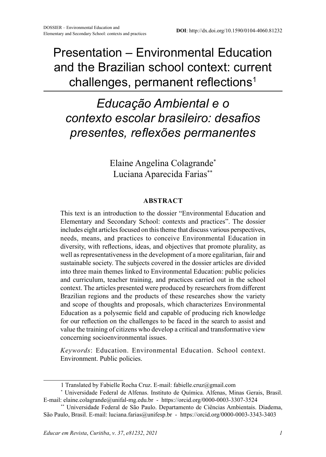Presentation – Environmental Education and the Brazilian school context: current challenges, permanent reflections<sup>1</sup>

## *Educação Ambiental e o contexto escolar brasileiro: desafios presentes, reflexões permanentes*

Elaine Angelina Colagrande\* Luciana Aparecida Farias\*\*

## **ABSTRACT**

This text is an introduction to the dossier "Environmental Education and Elementary and Secondary School: contexts and practices". The dossier includes eight articles focused on this theme that discuss various perspectives, needs, means, and practices to conceive Environmental Education in diversity, with reflections, ideas, and objectives that promote plurality, as well as representativeness in the development of a more egalitarian, fair and sustainable society. The subjects covered in the dossier articles are divided into three main themes linked to Environmental Education: public policies and curriculum, teacher training, and practices carried out in the school context. The articles presented were produced by researchers from different Brazilian regions and the products of these researches show the variety and scope of thoughts and proposals, which characterizes Environmental Education as a polysemic field and capable of producing rich knowledge for our reflection on the challenges to be faced in the search to assist and value the training of citizens who develop a critical and transformative view concerning socioenvironmental issues.

*Keywords*: Education. Environmental Education. School context. Environment. Public policies.

<sup>1</sup> Translated by Fabielle Rocha Cruz. E-mail: fabielle.cruz@gmail.com

<sup>\*</sup> Universidade Federal de Alfenas. Instituto de Química. Alfenas, Minas Gerais, Brasil. E-mail: elaine.colagrande@unifal-mg.edu.br - https://orcid.org/0000-0003-3307-3524

<sup>\*\*</sup> Universidade Federal de São Paulo. Departamento de Ciências Ambientais. Diadema, São Paulo, Brasil. E-mail: luciana.farias@unifesp.br - https://orcid.org/0000-0003-3343-3403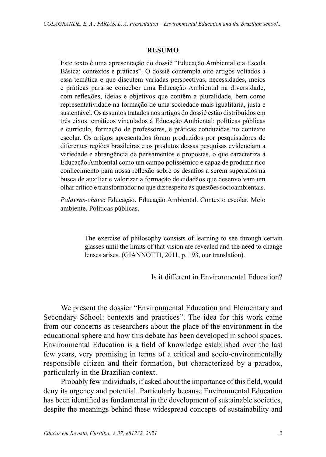## **RESUMO**

Este texto é uma apresentação do dossiê "Educação Ambiental e a Escola Básica: contextos e práticas". O dossiê contempla oito artigos voltados à essa temática e que discutem variadas perspectivas, necessidades, meios e práticas para se conceber uma Educação Ambiental na diversidade, com reflexões, ideias e objetivos que contêm a pluralidade, bem como representatividade na formação de uma sociedade mais igualitária, justa e sustentável. Os assuntos tratados nos artigos do dossiê estão distribuídos em três eixos temáticos vinculados à Educação Ambiental: políticas públicas e currículo, formação de professores, e práticas conduzidas no contexto escolar. Os artigos apresentados foram produzidos por pesquisadores de diferentes regiões brasileiras e os produtos dessas pesquisas evidenciam a variedade e abrangência de pensamentos e propostas, o que caracteriza a Educação Ambiental como um campo polissêmico e capaz de produzir rico conhecimento para nossa reflexão sobre os desafios a serem superados na busca de auxiliar e valorizar a formação de cidadãos que desenvolvam um olhar crítico e transformador no que diz respeito às questões socioambientais.

*Palavras-chave*: Educação. Educação Ambiental. Contexto escolar. Meio ambiente. Políticas públicas.

> The exercise of philosophy consists of learning to see through certain glasses until the limits of that vision are revealed and the need to change lenses arises. (GIANNOTTI, 2011, p. 193, our translation).

> > Is it different in Environmental Education?

We present the dossier "Environmental Education and Elementary and Secondary School: contexts and practices". The idea for this work came from our concerns as researchers about the place of the environment in the educational sphere and how this debate has been developed in school spaces. Environmental Education is a field of knowledge established over the last few years, very promising in terms of a critical and socio-environmentally responsible citizen and their formation, but characterized by a paradox, particularly in the Brazilian context.

Probably few individuals, if asked about the importance of this field, would deny its urgency and potential. Particularly because Environmental Education has been identified as fundamental in the development of sustainable societies, despite the meanings behind these widespread concepts of sustainability and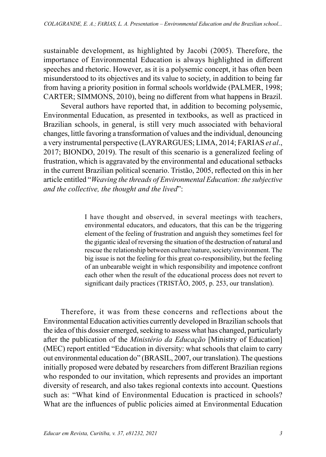sustainable development, as highlighted by Jacobi (2005). Therefore, the importance of Environmental Education is always highlighted in different speeches and rhetoric. However, as it is a polysemic concept, it has often been misunderstood to its objectives and its value to society, in addition to being far from having a priority position in formal schools worldwide (PALMER, 1998; CARTER; SIMMONS, 2010), being no different from what happens in Brazil.

Several authors have reported that, in addition to becoming polysemic, Environmental Education, as presented in textbooks, as well as practiced in Brazilian schools, in general, is still very much associated with behavioral changes, little favoring a transformation of values and the individual, denouncing a very instrumental perspective (LAYRARGUES; LIMA, 2014; FARIAS *et al*., 2017; BIONDO, 2019). The result of this scenario is a generalized feeling of frustration, which is aggravated by the environmental and educational setbacks in the current Brazilian political scenario. Tristão, 2005, reflected on this in her article entitled "*Weaving the threads of Environmental Education: the subjective and the collective, the thought and the lived*":

> I have thought and observed, in several meetings with teachers, environmental educators, and educators, that this can be the triggering element of the feeling of frustration and anguish they sometimes feel for the gigantic ideal of reversing the situation of the destruction of natural and rescue the relationship between culture/nature, society/environment. The big issue is not the feeling for this great co-responsibility, but the feeling of an unbearable weight in which responsibility and impotence confront each other when the result of the educational process does not revert to significant daily practices (TRISTÃO, 2005, p. 253, our translation).

Therefore, it was from these concerns and reflections about the Environmental Education activities currently developed in Brazilian schools that the idea of this dossier emerged, seeking to assess what has changed, particularly after the publication of the *Ministério da Educação* [Ministry of Education] (MEC) report entitled "Education in diversity: what schools that claim to carry out environmental education do" (BRASIL, 2007, our translation). The questions initially proposed were debated by researchers from different Brazilian regions who responded to our invitation, which represents and provides an important diversity of research, and also takes regional contexts into account. Questions such as: "What kind of Environmental Education is practiced in schools? What are the influences of public policies aimed at Environmental Education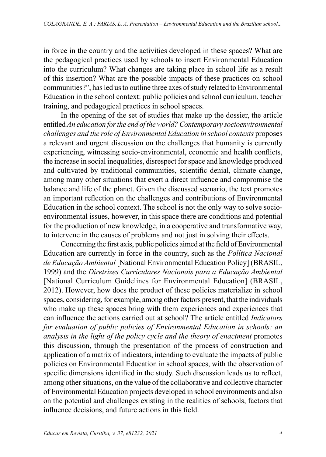in force in the country and the activities developed in these spaces? What are the pedagogical practices used by schools to insert Environmental Education into the curriculum? What changes are taking place in school life as a result of this insertion? What are the possible impacts of these practices on school communities?", has led us to outline three axes of study related to Environmental Education in the school context: public policies and school curriculum, teacher training, and pedagogical practices in school spaces.

In the opening of the set of studies that make up the dossier, the article entitled *An education for the end of the world? Contemporary socioenvironmental challenges and the role of Environmental Education in school contexts* proposes a relevant and urgent discussion on the challenges that humanity is currently experiencing, witnessing socio-environmental, economic and health conflicts, the increase in social inequalities, disrespect for space and knowledge produced and cultivated by traditional communities, scientific denial, climate change, among many other situations that exert a direct influence and compromise the balance and life of the planet. Given the discussed scenario, the text promotes an important reflection on the challenges and contributions of Environmental Education in the school context. The school is not the only way to solve socioenvironmental issues, however, in this space there are conditions and potential for the production of new knowledge, in a cooperative and transformative way, to intervene in the causes of problems and not just in solving their effects.

Concerning the first axis, public policies aimed at the field of Environmental Education are currently in force in the country, such as the *Política Nacional de Educação Ambiental* [National Environmental Education Policy] (BRASIL, 1999) and the *Diretrizes Curriculares Nacionais para a Educação Ambiental* [National Curriculum Guidelines for Environmental Education] (BRASIL, 2012). However, how does the product of these policies materialize in school spaces, considering, for example, among other factors present, that the individuals who make up these spaces bring with them experiences and experiences that can influence the actions carried out at school? The article entitled *Indicators for evaluation of public policies of Environmental Education in schools: an analysis in the light of the policy cycle and the theory of enactment* promotes this discussion, through the presentation of the process of construction and application of a matrix of indicators, intending to evaluate the impacts of public policies on Environmental Education in school spaces, with the observation of specific dimensions identified in the study. Such discussion leads us to reflect, among other situations, on the value of the collaborative and collective character of Environmental Education projects developed in school environments and also on the potential and challenges existing in the realities of schools, factors that influence decisions, and future actions in this field.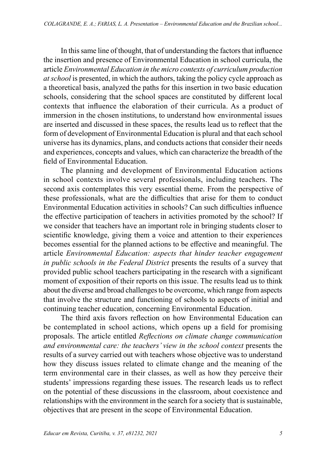In this same line of thought, that of understanding the factors that influence the insertion and presence of Environmental Education in school curricula, the article *Environmental Education in the micro contexts of curriculum production at school* is presented, in which the authors, taking the policy cycle approach as a theoretical basis, analyzed the paths for this insertion in two basic education schools, considering that the school spaces are constituted by different local contexts that influence the elaboration of their curricula. As a product of immersion in the chosen institutions, to understand how environmental issues are inserted and discussed in these spaces, the results lead us to reflect that the form of development of Environmental Education is plural and that each school universe has its dynamics, plans, and conducts actions that consider their needs and experiences, concepts and values, which can characterize the breadth of the field of Environmental Education.

The planning and development of Environmental Education actions in school contexts involve several professionals, including teachers. The second axis contemplates this very essential theme. From the perspective of these professionals, what are the difficulties that arise for them to conduct Environmental Education activities in schools? Can such difficulties influence the effective participation of teachers in activities promoted by the school? If we consider that teachers have an important role in bringing students closer to scientific knowledge, giving them a voice and attention to their experiences becomes essential for the planned actions to be effective and meaningful. The article *Environmental Education: aspects that hinder teacher engagement in public schools in the Federal District* presents the results of a survey that provided public school teachers participating in the research with a significant moment of exposition of their reports on this issue. The results lead us to think about the diverse and broad challenges to be overcome, which range from aspects that involve the structure and functioning of schools to aspects of initial and continuing teacher education, concerning Environmental Education.

The third axis favors reflection on how Environmental Education can be contemplated in school actions, which opens up a field for promising proposals. The article entitled *Reflections on climate change communication and environmental care: the teachers' view in the school context* presents the results of a survey carried out with teachers whose objective was to understand how they discuss issues related to climate change and the meaning of the term environmental care in their classes, as well as how they perceive their students' impressions regarding these issues. The research leads us to reflect on the potential of these discussions in the classroom, about coexistence and relationships with the environment in the search for a society that is sustainable, objectives that are present in the scope of Environmental Education.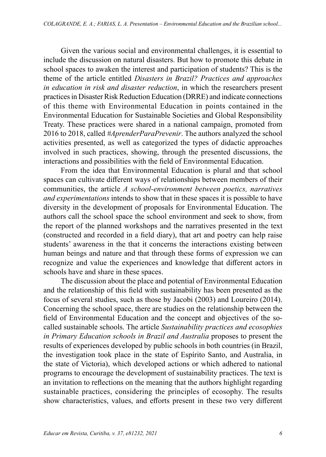Given the various social and environmental challenges, it is essential to include the discussion on natural disasters. But how to promote this debate in school spaces to awaken the interest and participation of students? This is the theme of the article entitled *Disasters in Brazil? Practices and approaches in education in risk and disaster reduction*, in which the researchers present practices in Disaster Risk Reduction Education (DRRE) and indicate connections of this theme with Environmental Education in points contained in the Environmental Education for Sustainable Societies and Global Responsibility Treaty. These practices were shared in a national campaign, promoted from 2016 to 2018, called *#AprenderParaPrevenir*. The authors analyzed the school activities presented, as well as categorized the types of didactic approaches involved in such practices, showing, through the presented discussions, the interactions and possibilities with the field of Environmental Education.

From the idea that Environmental Education is plural and that school spaces can cultivate different ways of relationships between members of their communities, the article *A school-environment between poetics, narratives and experimentations* intends to show that in these spaces it is possible to have diversity in the development of proposals for Environmental Education. The authors call the school space the school environment and seek to show, from the report of the planned workshops and the narratives presented in the text (constructed and recorded in a field diary), that art and poetry can help raise students' awareness in the that it concerns the interactions existing between human beings and nature and that through these forms of expression we can recognize and value the experiences and knowledge that different actors in schools have and share in these spaces.

The discussion about the place and potential of Environmental Education and the relationship of this field with sustainability has been presented as the focus of several studies, such as those by Jacobi (2003) and Loureiro (2014). Concerning the school space, there are studies on the relationship between the field of Environmental Education and the concept and objectives of the socalled sustainable schools. The article *Sustainability practices and ecosophies in Primary Education schools in Brazil and Australia* proposes to present the results of experiences developed by public schools in both countries (in Brazil, the investigation took place in the state of Espírito Santo, and Australia, in the state of Victoria), which developed actions or which adhered to national programs to encourage the development of sustainability practices. The text is an invitation to reflections on the meaning that the authors highlight regarding sustainable practices, considering the principles of ecosophy. The results show characteristics, values, and efforts present in these two very different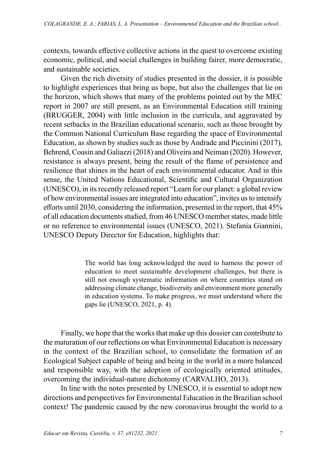contexts, towards effective collective actions in the quest to overcome existing economic, political, and social challenges in building fairer, more democratic, and sustainable societies.

Given the rich diversity of studies presented in the dossier, it is possible to highlight experiences that bring us hope, but also the challenges that lie on the horizon, which shows that many of the problems pointed out by the MEC report in 2007 are still present, as an Environmental Education still training (BRUGGER, 2004) with little inclusion in the curricula, and aggravated by recent setbacks in the Brazilian educational scenario, such as those brought by the Common National Curriculum Base regarding the space of Environmental Education, as shown by studies such as those by Andrade and Piccinini (2017), Behrend, Cousin and Galiazzi (2018) and Oliveira and Neiman (2020). However, resistance is always present, being the result of the flame of persistence and resilience that shines in the heart of each environmental educator. And in this sense, the United Nations Educational, Scientific and Cultural Organization (UNESCO), in its recently released report "Learn for our planet: a global review of how environmental issues are integrated into education", invites us to intensify efforts until 2030, considering the information, presented in the report, that 45% of all education documents studied, from 46 UNESCO member states, made little or no reference to environmental issues (UNESCO, 2021). Stefania Giannini, UNESCO Deputy Director for Education, highlights that:

> The world has long acknowledged the need to harness the power of education to meet sustainable development challenges, but there is still not enough systematic information on where countries stand on addressing climate change, biodiversity and environment more generally in education systems. To make progress, we must understand where the gaps lie (UNESCO, 2021, p. 4).

Finally, we hope that the works that make up this dossier can contribute to the maturation of our reflections on what Environmental Education is necessary in the context of the Brazilian school, to consolidate the formation of an Ecological Subject capable of being and being in the world in a more balanced and responsible way, with the adoption of ecologically oriented attitudes, overcoming the individual-nature dichotomy (CARVALHO, 2013).

In line with the notes presented by UNESCO, it is essential to adopt new directions and perspectives for Environmental Education in the Brazilian school context! The pandemic caused by the new coronavirus brought the world to a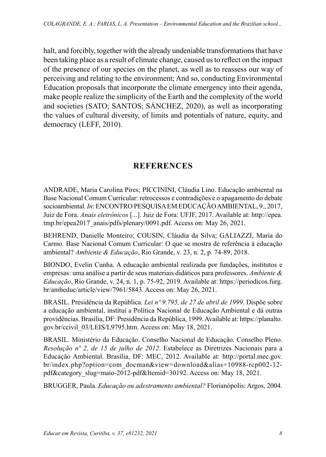halt, and forcibly, together with the already undeniable transformations that have been taking place as a result of climate change, caused us to reflect on the impact of the presence of our species on the planet, as well as to reassess our way of perceiving and relating to the environment; And so, conducting Environmental Education proposals that incorporate the climate emergency into their agenda, make people realize the simplicity of the Earth and the complexity of the world and societies (SATO; SANTOS; SÁNCHEZ, 2020), as well as incorporating the values of cultural diversity, of limits and potentials of nature, equity, and democracy (LEFF, 2010).

## **REFERENCES**

ANDRADE, Maria Carolina Pires; PICCININI, Cláudia Lino. Educação ambiental na Base Nacional Comum Curricular: retrocessos e contradições e o apagamento do debate socioambiental. *In*: ENCONTRO PESQUISA EM EDUCAÇÃO AMBIENTAL, 9., 2017, Juiz de Fora. *Anais eletrônicos* [...]. Juiz de Fora: UFJF, 2017. Available at: http://epea. tmp.br/epea2017\_anais/pdfs/plenary/0091.pdf. Access on: May 26, 2021.

BEHREND, Danielle Monteiro; COUSIN, Cláudia da Silva; GALIAZZI, Maria do Carmo. Base Nacional Comum Curricular: O que se mostra de referência à educação ambiental? *Ambiente & Educação*, Rio Grande, v. 23, n. 2, p. 74-89, 2018.

BIONDO, Evelin Cunha. A educação ambiental realizada por fundações, institutos e empresas: uma análise a partir de seus materiais didáticos para professores. *Ambiente & Educação*, Rio Grande, v. 24, n. 1, p. 75-92, 2019. Available at: https://periodicos.furg. br/ambeduc/article/view/7961/5843. Access on: May 26, 2021.

BRASIL. Presidência da República. *Lei nº 9.795, de 27 de abril de 1999*. Dispõe sobre a educação ambiental, institui a Política Nacional de Educação Ambiental e dá outras providências. Brasília, DF: Presidência da República, 1999. Available at: https://planalto. gov.br/ccivil\_03/LEIS/L9795.htm. Access on: May 18, 2021.

BRASIL. Ministério da Educação. Conselho Nacional de Educação. Conselho Pleno. *Resolução nº 2, de 15 de julho de 2012*. Estabelece as Diretrizes Nacionais para a Educação Ambiental. Brasília, DF: MEC, 2012. Available at: http://portal.mec.gov. br/index.php?option=com\_docman&view=download&alias=10988-rcp002-12 pdf&category\_slug=maio-2012-pdf&Itemid=30192. Access on: May 18, 2021.

BRUGGER, Paula. *Educação ou adestramento ambiental?* Florianópolis: Argos, 2004.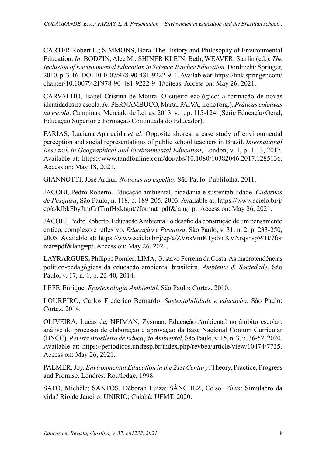CARTER Robert L.; SIMMONS, Bora. The History and Philosophy of Environmental Education. *In*: BODZIN, Alec M.; SHINER KLEIN, Beth; WEAVER, Starlin (ed.). *The Inclusion of Environmental Education in Science Teacher Education*. Dordrecht: Springer, 2010. p. 3-16. DOI 10.1007/978-90-481-9222-9\_1. Available at: https://link.springer.com/ chapter/10.1007%2F978-90-481-9222-9\_1#citeas. Access on: May 26, 2021.

CARVALHO, Isabel Cristina de Moura. O sujeito ecológico: a formação de novas identidades na escola. *In*: PERNAMBUCO, Marta; PAIVA, Irene (org.). *Práticas coletivas na escola*. Campinas: Mercado de Letras, 2013. v. 1, p. 115-124. (Série Educação Geral, Educação Superior e Formação Continuada do Educador).

FARIAS, Luciana Aparecida *et al*. Opposite shores: a case study of environmental perception and social representations of public school teachers in Brazil. *International Research in Geographical and Environmental Education*, London, v. 1, p. 1-13, 2017. Available at: https://www.tandfonline.com/doi/abs/10.1080/10382046.2017.1285136. Access on: May 18, 2021.

GIANNOTTI, José Arthur. *Notícias no espelho*. São Paulo: Publifolha, 2011.

JACOBI, Pedro Roberto. Educação ambiental, cidadania e sustentabilidade. *Cadernos de Pesquisa*, São Paulo, n. 118, p. 189-205, 2003. Available at: https://www.scielo.br/j/ cp/a/kJbkFbyJtmCrfTmfHxktgnt/?format=pdf&lang=pt. Access on: May 26, 2021.

JACOBI, Pedro Roberto. Educação Ambiental: o desafio da construção de um pensamento crítico, complexo e reflexivo. *Educação e Pesquisa*, São Paulo, v. 31, n. 2, p. 233-250, 2005. Available at: https://www.scielo.br/j/ep/a/ZV6sVmKTydvnKVNrqshspWH/?for mat=pdf&lang=pt. Access on: May 26, 2021.

LAYRARGUES, Philippe Pomier; LIMA, Gustavo Ferreira da Costa. As macrotendências político-pedagógicas da educação ambiental brasileira. *Ambiente & Sociedade*, São Paulo, v. 17, n. 1, p. 23-40, 2014.

LEFF, Enrique. *Epistemologia Ambiental*. São Paulo: Cortez, 2010.

LOUREIRO, Carlos Frederico Bernardo. *Sustentabilidade e educação*. São Paulo: Cortez, 2014.

OLIVEIRA, Lucas de; NEIMAN, Zysman. Educação Ambiental no âmbito escolar: análise do processo de elaboração e aprovação da Base Nacional Comum Curricular (BNCC). *Revista Brasileira de Educação Ambiental*, São Paulo, v. 15, n. 3, p. 36-52, 2020. Available at: https://periodicos.unifesp.br/index.php/revbea/article/view/10474/7735. Access on: May 26, 2021.

PALMER, Joy. *Environmental Education in the 21st Century*: Theory, Practice, Progress and Promise. Londres: Routledge, 1998.

SATO, Michèle; SANTOS, Déborah Luíza; SÁNCHEZ, Celso. *Vírus*: Simulacro da vida? Rio de Janeiro: UNIRIO; Cuiabá: UFMT, 2020.